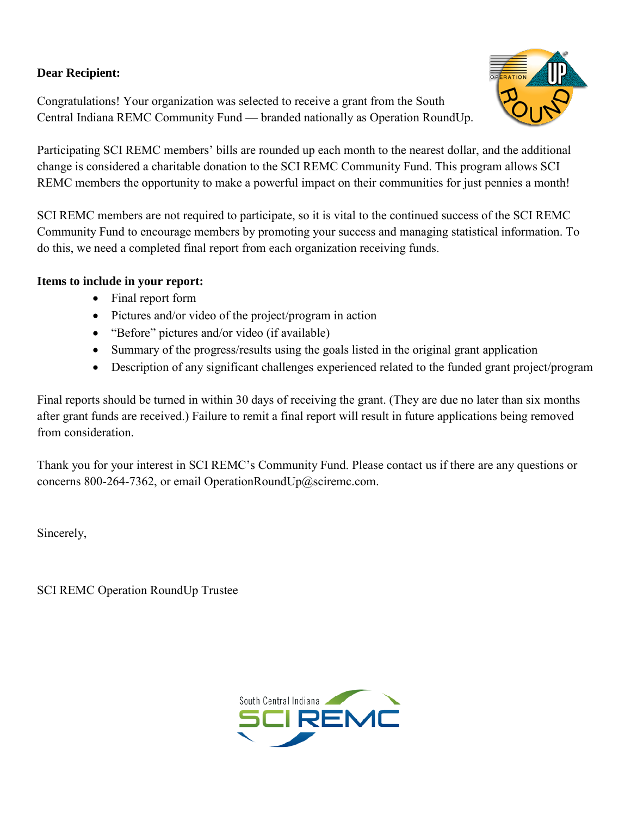# **Dear Recipient:**

Congratulations! Your organization was selected to receive a grant from the South Central Indiana REMC Community Fund — branded nationally as Operation RoundUp.



Participating SCI REMC members' bills are rounded up each month to the nearest dollar, and the additional change is considered a charitable donation to the SCI REMC Community Fund. This program allows SCI REMC members the opportunity to make a powerful impact on their communities for just pennies a month!

SCI REMC members are not required to participate, so it is vital to the continued success of the SCI REMC Community Fund to encourage members by promoting your success and managing statistical information. To do this, we need a completed final report from each organization receiving funds.

## **Items to include in your report:**

- Final report form
- Pictures and/or video of the project/program in action
- "Before" pictures and/or video (if available)
- Summary of the progress/results using the goals listed in the original grant application
- Description of any significant challenges experienced related to the funded grant project/program

Final reports should be turned in within 30 days of receiving the grant. (They are due no later than six months after grant funds are received.) Failure to remit a final report will result in future applications being removed from consideration.

Thank you for your interest in SCI REMC's Community Fund. Please contact us if there are any questions or concerns 800-264-7362, or email OperationRoundUp@sciremc.com.

Sincerely,

SCI REMC Operation RoundUp Trustee